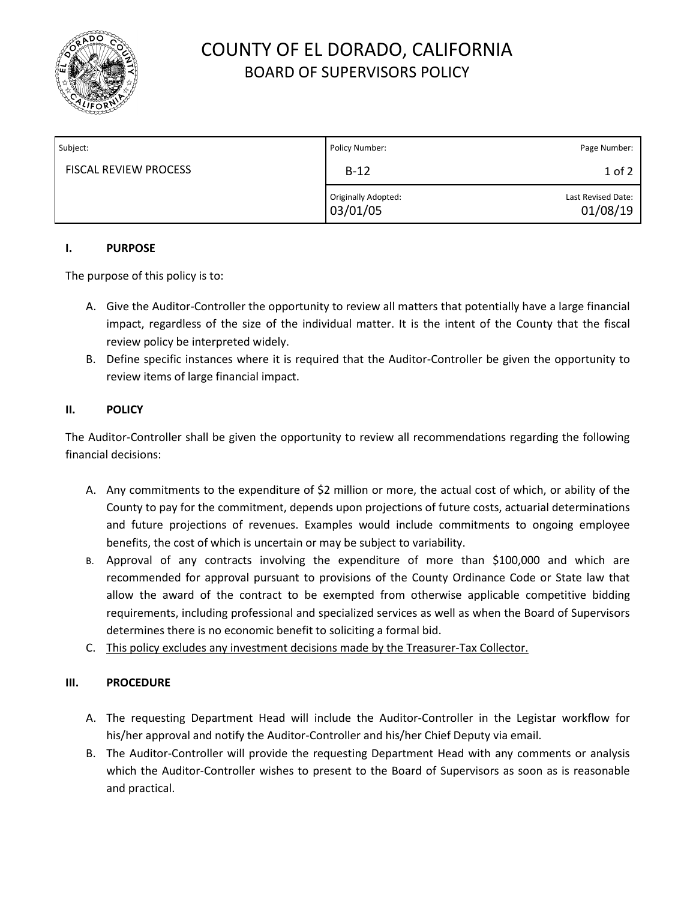

# COUNTY OF EL DORADO, CALIFORNIA BOARD OF SUPERVISORS POLICY

| Subject:                     | Policy Number:                  | Page Number:                   |
|------------------------------|---------------------------------|--------------------------------|
| <b>FISCAL REVIEW PROCESS</b> | $B-12$                          | $1$ of $2$                     |
|                              | Originally Adopted:<br>03/01/05 | Last Revised Date:<br>01/08/19 |

#### **I. PURPOSE**

The purpose of this policy is to:

- A. Give the Auditor-Controller the opportunity to review all matters that potentially have a large financial impact, regardless of the size of the individual matter. It is the intent of the County that the fiscal review policy be interpreted widely.
- B. Define specific instances where it is required that the Auditor-Controller be given the opportunity to review items of large financial impact.

### **II. POLICY**

The Auditor-Controller shall be given the opportunity to review all recommendations regarding the following financial decisions:

- A. Any commitments to the expenditure of \$2 million or more, the actual cost of which, or ability of the County to pay for the commitment, depends upon projections of future costs, actuarial determinations and future projections of revenues. Examples would include commitments to ongoing employee benefits, the cost of which is uncertain or may be subject to variability.
- B. Approval of any contracts involving the expenditure of more than \$100,000 and which are recommended for approval pursuant to provisions of the County Ordinance Code or State law that allow the award of the contract to be exempted from otherwise applicable competitive bidding requirements, including professional and specialized services as well as when the Board of Supervisors determines there is no economic benefit to soliciting a formal bid.
- C. This policy excludes any investment decisions made by the Treasurer-Tax Collector.

### **III. PROCEDURE**

- A. The requesting Department Head will include the Auditor-Controller in the Legistar workflow for his/her approval and notify the Auditor-Controller and his/her Chief Deputy via email.
- B. The Auditor-Controller will provide the requesting Department Head with any comments or analysis which the Auditor-Controller wishes to present to the Board of Supervisors as soon as is reasonable and practical.